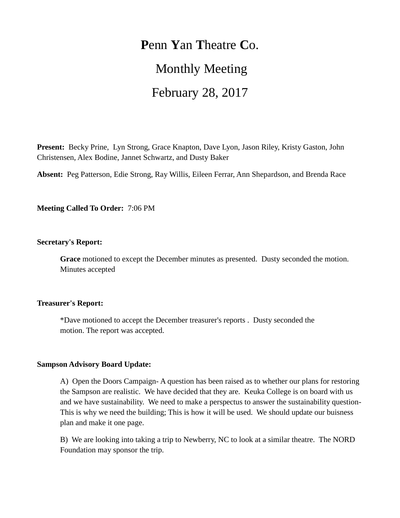# **P**enn **Y**an **T**heatre **C**o. Monthly Meeting February 28, 2017

**Present:** Becky Prine, Lyn Strong, Grace Knapton, Dave Lyon, Jason Riley, Kristy Gaston, John Christensen, Alex Bodine, Jannet Schwartz, and Dusty Baker

**Absent:** Peg Patterson, Edie Strong, Ray Willis, Eileen Ferrar, Ann Shepardson, and Brenda Race

**Meeting Called To Order:** 7:06 PM

## **Secretary's Report:**

**Grace** motioned to except the December minutes as presented. Dusty seconded the motion. Minutes accepted

## **Treasurer's Report:**

\*Dave motioned to accept the December treasurer's reports . Dusty seconded the motion. The report was accepted.

## **Sampson Advisory Board Update:**

A) Open the Doors Campaign- A question has been raised as to whether our plans for restoring the Sampson are realistic. We have decided that they are. Keuka College is on board with us and we have sustainability. We need to make a perspectus to answer the sustainability question-This is why we need the building; This is how it will be used. We should update our buisness plan and make it one page.

B) We are looking into taking a trip to Newberry, NC to look at a similar theatre. The NORD Foundation may sponsor the trip.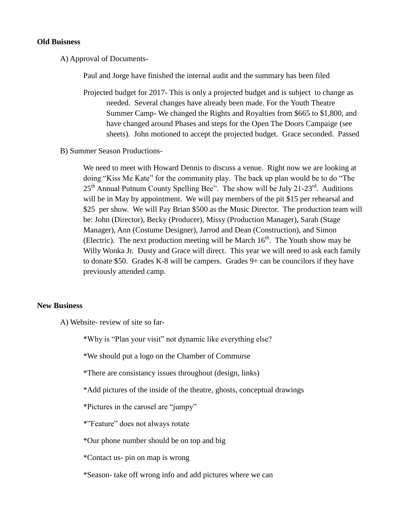#### **Old Buisness**

A) Approval of Documents-

Paul and Jorge have finished the internal audit and the summary has been filed

- Projected budget for 2017- This is only a projected budget and is subject to change as needed. Several changes have already been made. For the Youth Theatre Summer Camp- We changed the Rights and Royalties from \$665 to \$1,800, and have changed around Phases and steps for the Open The Doors Campaige (see sheets). John motioned to accept the projected budget. Grace seconded. Passed
- B) Summer Season Productions-

We need to meet with Howard Dennis to discuss a venue. Right now we are looking at doing "Kiss Me Kate" for the community play. The back up plan would be to do "The  $25<sup>th</sup>$  Annual Putnum County Spelling Bee". The show will be July 21-23<sup>rd</sup>. Auditions will be in May by appointment. We will pay members of the pit \$15 per rehearsal and \$25 per show. We will Pay Brian \$500 as the Music Director. The production team will be: John (Director), Becky (Producer), Missy (Production Manager), Sarah (Stage Manager), Ann (Costume Designer), Jarrod and Dean (Construction), and Simon (Electric). The next production meeting will be March  $16<sup>th</sup>$ . The Youth show may be Willy Wonka Jr. Dusty and Grace will direct. This year we will need to ask each family to donate \$50. Grades K-8 will be campers. Grades 9+ can be councilors if they have previously attended camp.

## **New Business**

A) Website- review of site so far-

\*Why is "Plan your visit" not dynamic like everything else?

\*We should put a logo on the Chamber of Commurse

\*There are consistancy issues throughout (design, links)

\*Add pictures of the inside of the theatre, ghosts, conceptual drawings

\*Pictures in the carosel are "jumpy"

\*"Feature" does not always rotate

\*Our phone number should be on top and big

\*Contact us- pin on map is wrong

\*Season- take off wrong info and add pictures where we can